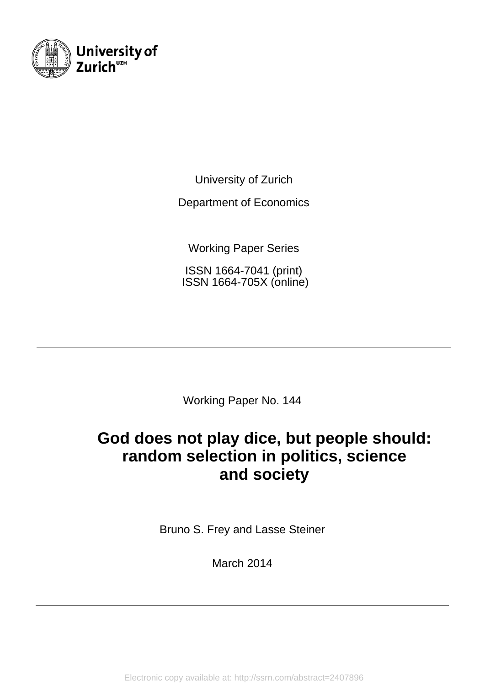

University of Zurich

Department of Economics

Working Paper Series

ISSN 1664-7041 (print) ISSN 1664-705X (online)

Working Paper No. 144

# **God does not play dice, but people should: random selection in politics, science and society**

Bruno S. Frey and Lasse Steiner

March 2014

Electronic copy available at: http://ssrn.com/abstract=2407896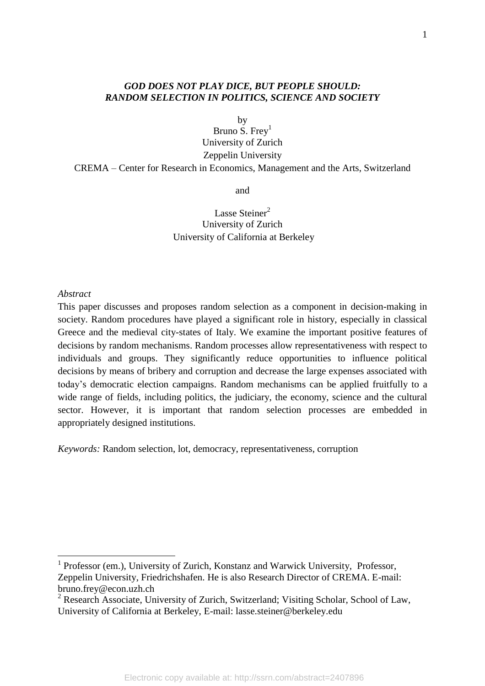## *GOD DOES NOT PLAY DICE, BUT PEOPLE SHOULD: RANDOM SELECTION IN POLITICS, SCIENCE AND SOCIETY*

by

Bruno S. Frey $<sup>1</sup>$ </sup> University of Zurich Zeppelin University CREMA – Center for Research in Economics, Management and the Arts, Switzerland

and

## Lasse Steiner<sup>2</sup> University of Zurich University of California at Berkeley

### *Abstract*

This paper discusses and proposes random selection as a component in decision-making in society. Random procedures have played a significant role in history, especially in classical Greece and the medieval city-states of Italy. We examine the important positive features of decisions by random mechanisms. Random processes allow representativeness with respect to individuals and groups. They significantly reduce opportunities to influence political decisions by means of bribery and corruption and decrease the large expenses associated with today's democratic election campaigns. Random mechanisms can be applied fruitfully to a wide range of fields, including politics, the judiciary, the economy, science and the cultural sector. However, it is important that random selection processes are embedded in appropriately designed institutions.

*Keywords:* Random selection, lot, democracy, representativeness, corruption

<sup>&</sup>lt;sup>1</sup> Professor (em.), University of Zurich, Konstanz and Warwick University, Professor, Zeppelin University, Friedrichshafen. He is also Research Director of CREMA. E-mail: bruno.frey@econ.uzh.ch

 $2$  Research Associate, University of Zurich, Switzerland; Visiting Scholar, School of Law, University of California at Berkeley, E-mail: lasse.steiner@berkeley.edu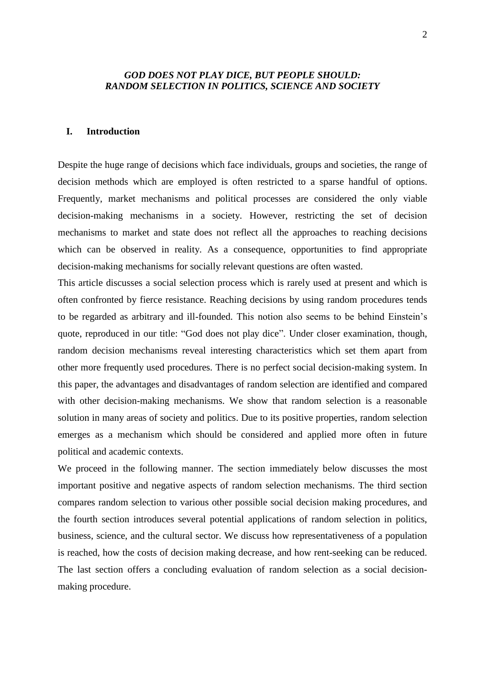## *GOD DOES NOT PLAY DICE, BUT PEOPLE SHOULD: RANDOM SELECTION IN POLITICS, SCIENCE AND SOCIETY*

## **I. Introduction**

Despite the huge range of decisions which face individuals, groups and societies, the range of decision methods which are employed is often restricted to a sparse handful of options. Frequently, market mechanisms and political processes are considered the only viable decision-making mechanisms in a society. However, restricting the set of decision mechanisms to market and state does not reflect all the approaches to reaching decisions which can be observed in reality. As a consequence, opportunities to find appropriate decision-making mechanisms for socially relevant questions are often wasted.

This article discusses a social selection process which is rarely used at present and which is often confronted by fierce resistance. Reaching decisions by using random procedures tends to be regarded as arbitrary and ill-founded. This notion also seems to be behind Einstein's quote, reproduced in our title: "God does not play dice". Under closer examination, though, random decision mechanisms reveal interesting characteristics which set them apart from other more frequently used procedures. There is no perfect social decision-making system. In this paper, the advantages and disadvantages of random selection are identified and compared with other decision-making mechanisms. We show that random selection is a reasonable solution in many areas of society and politics. Due to its positive properties, random selection emerges as a mechanism which should be considered and applied more often in future political and academic contexts.

We proceed in the following manner. The section immediately below discusses the most important positive and negative aspects of random selection mechanisms. The third section compares random selection to various other possible social decision making procedures, and the fourth section introduces several potential applications of random selection in politics, business, science, and the cultural sector. We discuss how representativeness of a population is reached, how the costs of decision making decrease, and how rent-seeking can be reduced. The last section offers a concluding evaluation of random selection as a social decisionmaking procedure.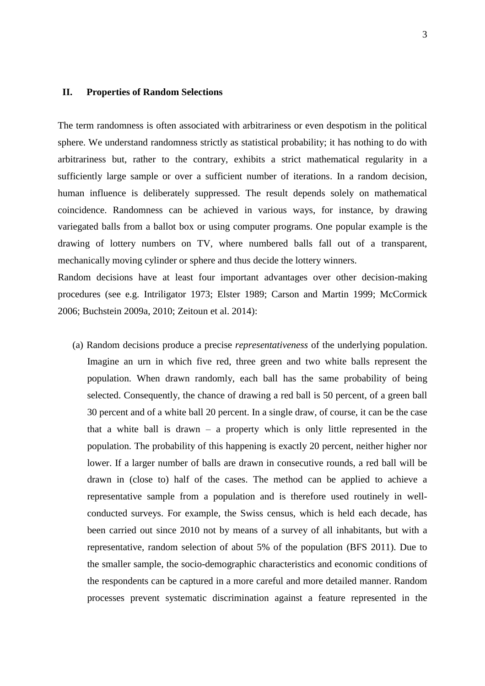## **II. Properties of Random Selections**

The term randomness is often associated with arbitrariness or even despotism in the political sphere. We understand randomness strictly as statistical probability; it has nothing to do with arbitrariness but, rather to the contrary, exhibits a strict mathematical regularity in a sufficiently large sample or over a sufficient number of iterations. In a random decision, human influence is deliberately suppressed. The result depends solely on mathematical coincidence. Randomness can be achieved in various ways, for instance, by drawing variegated balls from a ballot box or using computer programs. One popular example is the drawing of lottery numbers on TV, where numbered balls fall out of a transparent, mechanically moving cylinder or sphere and thus decide the lottery winners.

Random decisions have at least four important advantages over other decision-making procedures (see e.g. [Intriligator 1973;](#page-17-0) [Elster 1989;](#page-16-0) [Carson and Martin 1999;](#page-15-0) [McCormick](#page-17-1)  [2006;](#page-17-1) [Buchstein 2009a,](#page-15-1) [2010;](#page-15-2) [Zeitoun et al. 2014\)](#page-18-0):

(a) Random decisions produce a precise *representativeness* of the underlying population. Imagine an urn in which five red, three green and two white balls represent the population. When drawn randomly, each ball has the same probability of being selected. Consequently, the chance of drawing a red ball is 50 percent, of a green ball 30 percent and of a white ball 20 percent. In a single draw, of course, it can be the case that a white ball is drawn – a property which is only little represented in the population. The probability of this happening is exactly 20 percent, neither higher nor lower. If a larger number of balls are drawn in consecutive rounds, a red ball will be drawn in (close to) half of the cases. The method can be applied to achieve a representative sample from a population and is therefore used routinely in wellconducted surveys. For example, the Swiss census, which is held each decade, has been carried out since 2010 not by means of a survey of all inhabitants, but with a representative, random selection of about 5% of the population [\(BFS 2011\)](#page-15-3). Due to the smaller sample, the socio-demographic characteristics and economic conditions of the respondents can be captured in a more careful and more detailed manner. Random processes prevent systematic discrimination against a feature represented in the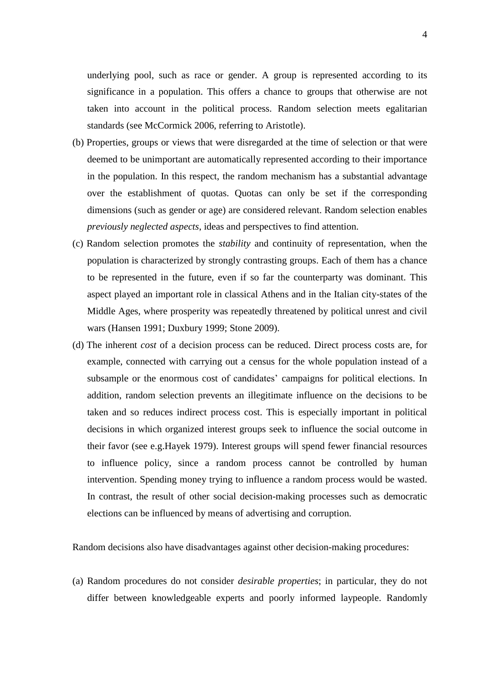underlying pool, such as race or gender. A group is represented according to its significance in a population. This offers a chance to groups that otherwise are not taken into account in the political process. Random selection meets egalitarian standards (see McCormick 2006, referring to Aristotle).

- (b) Properties, groups or views that were disregarded at the time of selection or that were deemed to be unimportant are automatically represented according to their importance in the population. In this respect, the random mechanism has a substantial advantage over the establishment of quotas. Quotas can only be set if the corresponding dimensions (such as gender or age) are considered relevant. Random selection enables *previously neglected aspects*, ideas and perspectives to find attention.
- (c) Random selection promotes the *stability* and continuity of representation, when the population is characterized by strongly contrasting groups. Each of them has a chance to be represented in the future, even if so far the counterparty was dominant. This aspect played an important role in classical Athens and in the Italian city-states of the Middle Ages, where prosperity was repeatedly threatened by political unrest and civil wars [\(Hansen 1991;](#page-16-1) [Duxbury 1999;](#page-16-2) [Stone 2009\)](#page-18-1).
- (d) The inherent *cost* of a decision process can be reduced. Direct process costs are, for example, connected with carrying out a census for the whole population instead of a subsample or the enormous cost of candidates' campaigns for political elections. In addition, random selection prevents an illegitimate influence on the decisions to be taken and so reduces indirect process cost. This is especially important in political decisions in which organized interest groups seek to influence the social outcome in their favor [\(see e.g.Hayek 1979\)](#page-16-3). Interest groups will spend fewer financial resources to influence policy, since a random process cannot be controlled by human intervention. Spending money trying to influence a random process would be wasted. In contrast, the result of other social decision-making processes such as democratic elections can be influenced by means of advertising and corruption.

Random decisions also have disadvantages against other decision-making procedures:

(a) Random procedures do not consider *desirable properties*; in particular, they do not differ between knowledgeable experts and poorly informed laypeople. Randomly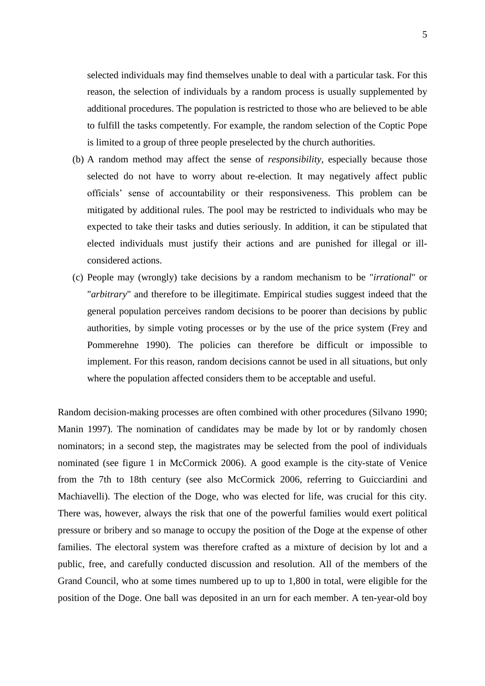selected individuals may find themselves unable to deal with a particular task. For this reason, the selection of individuals by a random process is usually supplemented by additional procedures. The population is restricted to those who are believed to be able to fulfill the tasks competently. For example, the random selection of the Coptic Pope is limited to a group of three people preselected by the church authorities.

- (b) A random method may affect the sense of *responsibility*, especially because those selected do not have to worry about re-election. It may negatively affect public officials' sense of accountability or their responsiveness. This problem can be mitigated by additional rules. The pool may be restricted to individuals who may be expected to take their tasks and duties seriously. In addition, it can be stipulated that elected individuals must justify their actions and are punished for illegal or illconsidered actions.
- (c) People may (wrongly) take decisions by a random mechanism to be "*irrational*" or "*arbitrary*" and therefore to be illegitimate. Empirical studies suggest indeed that the general population perceives random decisions to be poorer than decisions by public authorities, by simple voting processes or by the use of the price system [\(Frey and](#page-16-4)  [Pommerehne 1990\)](#page-16-4). The policies can therefore be difficult or impossible to implement. For this reason, random decisions cannot be used in all situations, but only where the population affected considers them to be acceptable and useful.

Random decision-making processes are often combined with other procedures [\(Silvano 1990;](#page-18-2) [Manin 1997\)](#page-17-2). The nomination of candidates may be made by lot or by randomly chosen nominators; in a second step, the magistrates may be selected from the pool of individuals nominated [\(see figure 1 in McCormick 2006\)](#page-17-1). A good example is the city-state of Venice from the 7th to 18th century (see also McCormick 2006, referring to Guicciardini and Machiavelli). The election of the Doge, who was elected for life, was crucial for this city. There was, however, always the risk that one of the powerful families would exert political pressure or bribery and so manage to occupy the position of the Doge at the expense of other families. The electoral system was therefore crafted as a mixture of decision by lot and a public, free, and carefully conducted discussion and resolution. All of the members of the Grand Council, who at some times numbered up to up to 1,800 in total, were eligible for the position of the Doge. One ball was deposited in an urn for each member. A ten-year-old boy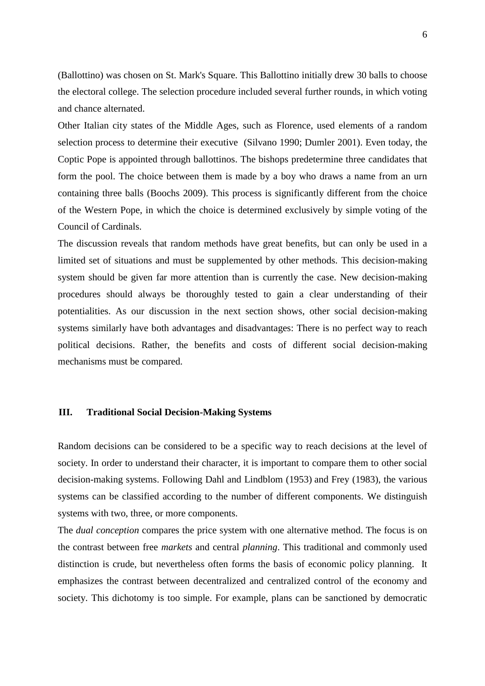(Ballottino) was chosen on St. Mark's Square. This Ballottino initially drew 30 balls to choose the electoral college. The selection procedure included several further rounds, in which voting and chance alternated.

Other Italian city states of the Middle Ages, such as Florence, used elements of a random selection process to determine their executive [\(Silvano 1990;](#page-18-2) [Dumler 2001\)](#page-15-4). Even today, the Coptic Pope is appointed through ballottinos. The bishops predetermine three candidates that form the pool. The choice between them is made by a boy who draws a name from an urn containing three balls [\(Boochs 2009\)](#page-15-5). This process is significantly different from the choice of the Western Pope, in which the choice is determined exclusively by simple voting of the Council of Cardinals.

The discussion reveals that random methods have great benefits, but can only be used in a limited set of situations and must be supplemented by other methods. This decision-making system should be given far more attention than is currently the case. New decision-making procedures should always be thoroughly tested to gain a clear understanding of their potentialities. As our discussion in the next section shows, other social decision-making systems similarly have both advantages and disadvantages: There is no perfect way to reach political decisions. Rather, the benefits and costs of different social decision-making mechanisms must be compared.

### **III. Traditional Social Decision-Making Systems**

Random decisions can be considered to be a specific way to reach decisions at the level of society. In order to understand their character, it is important to compare them to other social decision-making systems. Following Dahl and Lindblom [\(1953\)](#page-15-6) and Frey [\(1983\)](#page-16-5), the various systems can be classified according to the number of different components. We distinguish systems with two, three, or more components.

The *dual conception* compares the price system with one alternative method. The focus is on the contrast between free *markets* and central *planning*. This traditional and commonly used distinction is crude, but nevertheless often forms the basis of economic policy planning. It emphasizes the contrast between decentralized and centralized control of the economy and society. This dichotomy is too simple. For example, plans can be sanctioned by democratic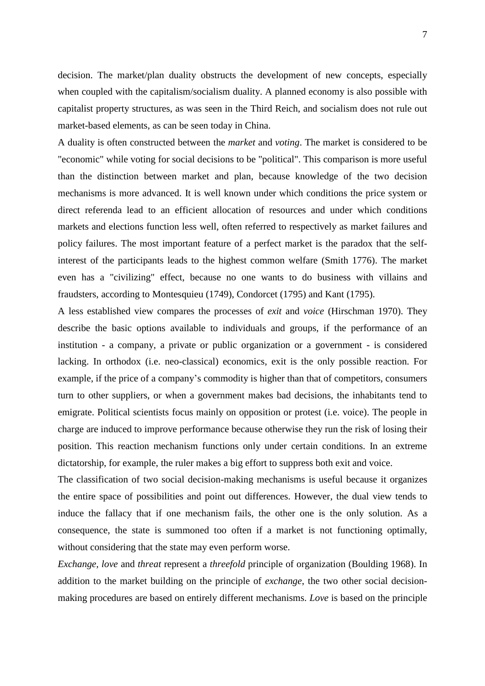decision. The market/plan duality obstructs the development of new concepts, especially when coupled with the capitalism/socialism duality. A planned economy is also possible with capitalist property structures, as was seen in the Third Reich, and socialism does not rule out market-based elements, as can be seen today in China.

A duality is often constructed between the *market* and *voting*. The market is considered to be "economic" while voting for social decisions to be "political". This comparison is more useful than the distinction between market and plan, because knowledge of the two decision mechanisms is more advanced. It is well known under which conditions the price system or direct referenda lead to an efficient allocation of resources and under which conditions markets and elections function less well, often referred to respectively as market failures and policy failures. The most important feature of a perfect market is the paradox that the selfinterest of the participants leads to the highest common welfare [\(Smith 1776\)](#page-18-3). The market even has a "civilizing" effect, because no one wants to do business with villains and fraudsters, according to Montesquieu [\(1749\)](#page-17-3), Condorcet [\(1795\)](#page-15-7) and Kant [\(1795\)](#page-17-4).

A less established view compares the processes of *exit* and *voice* [\(Hirschman 1970\)](#page-16-6). They describe the basic options available to individuals and groups, if the performance of an institution - a company, a private or public organization or a government - is considered lacking. In orthodox (i.e. neo-classical) economics, exit is the only possible reaction. For example, if the price of a company's commodity is higher than that of competitors, consumers turn to other suppliers, or when a government makes bad decisions, the inhabitants tend to emigrate. Political scientists focus mainly on opposition or protest (i.e. voice). The people in charge are induced to improve performance because otherwise they run the risk of losing their position. This reaction mechanism functions only under certain conditions. In an extreme dictatorship, for example, the ruler makes a big effort to suppress both exit and voice.

The classification of two social decision-making mechanisms is useful because it organizes the entire space of possibilities and point out differences. However, the dual view tends to induce the fallacy that if one mechanism fails, the other one is the only solution. As a consequence, the state is summoned too often if a market is not functioning optimally, without considering that the state may even perform worse.

*Exchange, love* and *threat* represent a *threefold* principle of organization [\(Boulding 1968\)](#page-15-8). In addition to the market building on the principle of *exchange*, the two other social decisionmaking procedures are based on entirely different mechanisms. *Love* is based on the principle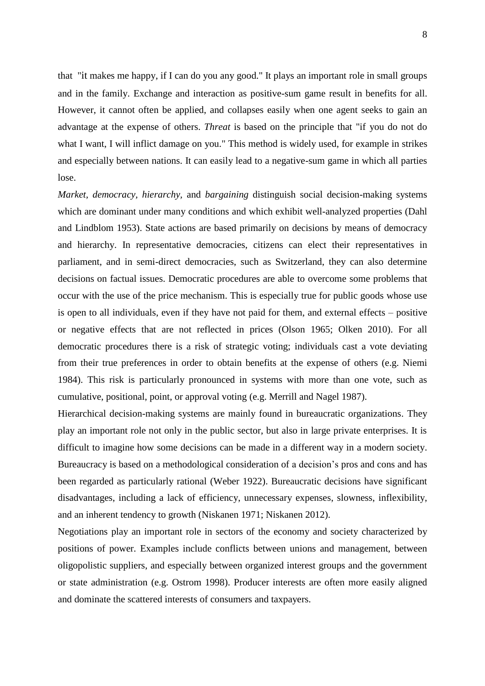that "it makes me happy, if I can do you any good." It plays an important role in small groups and in the family. Exchange and interaction as positive-sum game result in benefits for all. However, it cannot often be applied, and collapses easily when one agent seeks to gain an advantage at the expense of others. *Threat* is based on the principle that "if you do not do what I want, I will inflict damage on you." This method is widely used, for example in strikes and especially between nations. It can easily lead to a negative-sum game in which all parties lose.

*Market, democracy, hierarchy,* and *bargaining* distinguish social decision-making systems which are dominant under many conditions and which exhibit well-analyzed properties [\(Dahl](#page-15-6)  [and Lindblom 1953\)](#page-15-6). State actions are based primarily on decisions by means of democracy and hierarchy. In representative democracies, citizens can elect their representatives in parliament, and in semi-direct democracies, such as Switzerland, they can also determine decisions on factual issues. Democratic procedures are able to overcome some problems that occur with the use of the price mechanism. This is especially true for public goods whose use is open to all individuals, even if they have not paid for them, and external effects – positive or negative effects that are not reflected in prices [\(Olson 1965;](#page-17-5) [Olken 2010\)](#page-17-6). For all democratic procedures there is a risk of strategic voting; individuals cast a vote deviating from their true preferences in order to obtain benefits at the expense of others [\(e.g. Niemi](#page-17-7)  [1984\)](#page-17-7). This risk is particularly pronounced in systems with more than one vote, such as cumulative, positional, point, or approval voting [\(e.g. Merrill and Nagel 1987\)](#page-17-8).

Hierarchical decision-making systems are mainly found in bureaucratic organizations. They play an important role not only in the public sector, but also in large private enterprises. It is difficult to imagine how some decisions can be made in a different way in a modern society. Bureaucracy is based on a methodological consideration of a decision's pros and cons and has been regarded as particularly rational [\(Weber 1922\)](#page-18-4). Bureaucratic decisions have significant disadvantages, including a lack of efficiency, unnecessary expenses, slowness, inflexibility, and an inherent tendency to growth [\(Niskanen 1971;](#page-17-9) [Niskanen 2012\)](#page-17-10).

Negotiations play an important role in sectors of the economy and society characterized by positions of power. Examples include conflicts between unions and management, between oligopolistic suppliers, and especially between organized interest groups and the government or state administration [\(e.g. Ostrom 1998\)](#page-18-5). Producer interests are often more easily aligned and dominate the scattered interests of consumers and taxpayers.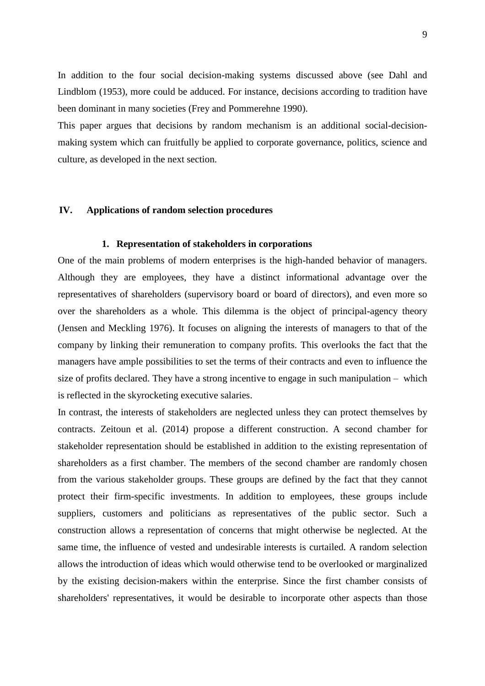In addition to the four social decision-making systems discussed above (see Dahl and Lindblom [\(1953\)](#page-15-6), more could be adduced. For instance, decisions according to tradition have been dominant in many societies [\(Frey and Pommerehne 1990\)](#page-16-4).

This paper argues that decisions by random mechanism is an additional social-decisionmaking system which can fruitfully be applied to corporate governance, politics, science and culture, as developed in the next section.

## **IV. Applications of random selection procedures**

#### **1. Representation of stakeholders in corporations**

One of the main problems of modern enterprises is the high-handed behavior of managers. Although they are employees, they have a distinct informational advantage over the representatives of shareholders (supervisory board or board of directors), and even more so over the shareholders as a whole. This dilemma is the object of principal-agency theory [\(Jensen and Meckling 1976\)](#page-17-11). It focuses on aligning the interests of managers to that of the company by linking their remuneration to company profits. This overlooks the fact that the managers have ample possibilities to set the terms of their contracts and even to influence the size of profits declared. They have a strong incentive to engage in such manipulation – which is reflected in the skyrocketing executive salaries.

In contrast, the interests of stakeholders are neglected unless they can protect themselves by contracts. Zeitoun et al. [\(2014\)](#page-18-0) propose a different construction. A second chamber for stakeholder representation should be established in addition to the existing representation of shareholders as a first chamber. The members of the second chamber are randomly chosen from the various stakeholder groups. These groups are defined by the fact that they cannot protect their firm-specific investments. In addition to employees, these groups include suppliers, customers and politicians as representatives of the public sector. Such a construction allows a representation of concerns that might otherwise be neglected. At the same time, the influence of vested and undesirable interests is curtailed. A random selection allows the introduction of ideas which would otherwise tend to be overlooked or marginalized by the existing decision-makers within the enterprise. Since the first chamber consists of shareholders' representatives, it would be desirable to incorporate other aspects than those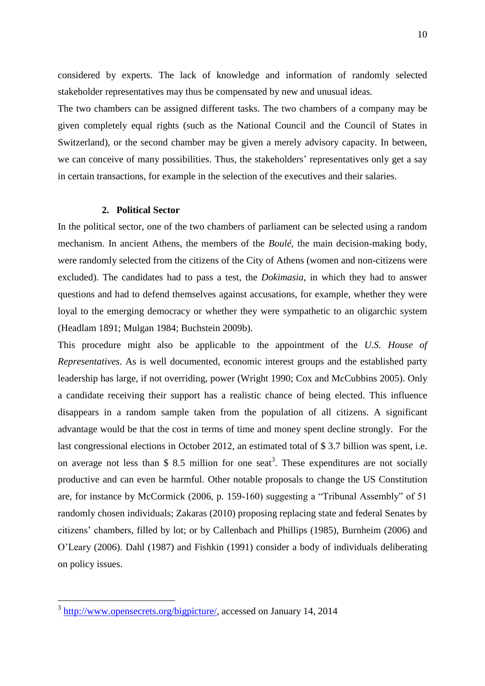considered by experts. The lack of knowledge and information of randomly selected stakeholder representatives may thus be compensated by new and unusual ideas.

The two chambers can be assigned different tasks. The two chambers of a company may be given completely equal rights (such as the National Council and the Council of States in Switzerland), or the second chamber may be given a merely advisory capacity. In between, we can conceive of many possibilities. Thus, the stakeholders' representatives only get a say in certain transactions, for example in the selection of the executives and their salaries.

## **2. Political Sector**

In the political sector, one of the two chambers of parliament can be selected using a random mechanism. In ancient Athens, the members of the *Boulé*, the main decision-making body, were randomly selected from the citizens of the City of Athens (women and non-citizens were excluded). The candidates had to pass a test, the *Dokimasia*, in which they had to answer questions and had to defend themselves against accusations, for example, whether they were loyal to the emerging democracy or whether they were sympathetic to an oligarchic system [\(Headlam 1891;](#page-16-7) [Mulgan 1984;](#page-17-12) [Buchstein 2009b\)](#page-15-9).

This procedure might also be applicable to the appointment of the *U.S. House of Representatives*. As is well documented, economic interest groups and the established party leadership has large, if not overriding, power [\(Wright 1990;](#page-18-6) [Cox and McCubbins 2005\)](#page-15-10). Only a candidate receiving their support has a realistic chance of being elected. This influence disappears in a random sample taken from the population of all citizens. A significant advantage would be that the cost in terms of time and money spent decline strongly. For the last congressional elections in October 2012, an estimated total of \$ 3.7 billion was spent, i.e. on average not less than \$ 8.5 million for one seat<sup>3</sup>. These expenditures are not socially productive and can even be harmful. Other notable proposals to change the US Constitution are, for instance by McCormick (2006, p. 159-160) suggesting a "Tribunal Assembly" of 51 randomly chosen individuals; Zakaras [\(2010\)](#page-18-7) proposing replacing state and federal Senates by citizens' chambers, filled by lot; or by Callenbach and Phillips [\(1985\)](#page-15-11), Burnheim [\(2006\)](#page-15-12) and O'Leary [\(2006\)](#page-17-13). Dahl [\(1987\)](#page-15-13) and Fishkin [\(1991\)](#page-16-8) consider a body of individuals deliberating on policy issues.

<sup>&</sup>lt;sup>3</sup> [http://www.opensecrets.org/bigpicture/,](http://www.opensecrets.org/bigpicture/) accessed on January 14, 2014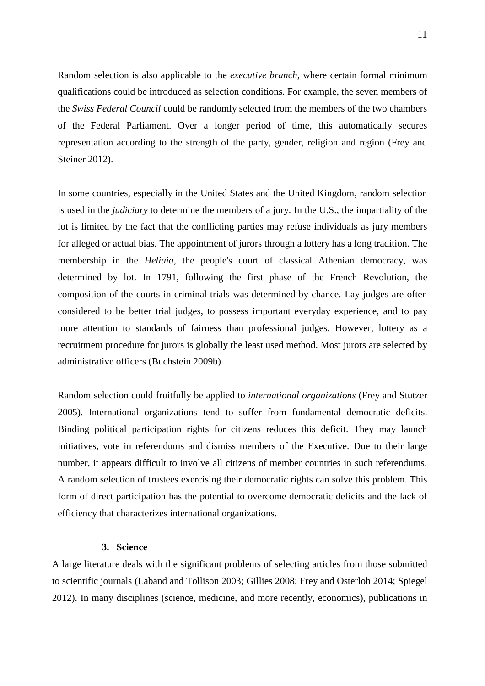Random selection is also applicable to the *executive branch*, where certain formal minimum qualifications could be introduced as selection conditions. For example, the seven members of the *Swiss Federal Council* could be randomly selected from the members of the two chambers of the Federal Parliament. Over a longer period of time, this automatically secures representation according to the strength of the party, gender, religion and region [\(Frey and](#page-16-9)  [Steiner 2012\)](#page-16-9).

In some countries, especially in the United States and the United Kingdom, random selection is used in the *judiciary* to determine the members of a jury. In the U.S., the impartiality of the lot is limited by the fact that the conflicting parties may refuse individuals as jury members for alleged or actual bias. The appointment of jurors through a lottery has a long tradition. The membership in the *Heliaia*, the people's court of classical Athenian democracy, was determined by lot. In 1791, following the first phase of the French Revolution, the composition of the courts in criminal trials was determined by chance. Lay judges are often considered to be better trial judges, to possess important everyday experience, and to pay more attention to standards of fairness than professional judges. However, lottery as a recruitment procedure for jurors is globally the least used method. Most jurors are selected by administrative officers [\(Buchstein 2009b\)](#page-15-9).

Random selection could fruitfully be applied to *international organizations* [\(Frey and Stutzer](#page-16-10)  [2005\)](#page-16-10)*.* International organizations tend to suffer from fundamental democratic deficits. Binding political participation rights for citizens reduces this deficit. They may launch initiatives, vote in referendums and dismiss members of the Executive. Due to their large number, it appears difficult to involve all citizens of member countries in such referendums. A random selection of trustees exercising their democratic rights can solve this problem. This form of direct participation has the potential to overcome democratic deficits and the lack of efficiency that characterizes international organizations.

#### **3. Science**

A large literature deals with the significant problems of selecting articles from those submitted to scientific journals [\(Laband and Tollison 2003;](#page-17-14) [Gillies 2008;](#page-16-11) [Frey and Osterloh 2014;](#page-16-12) [Spiegel](#page-18-8)  [2012\)](#page-18-8). In many disciplines (science, medicine, and more recently, economics), publications in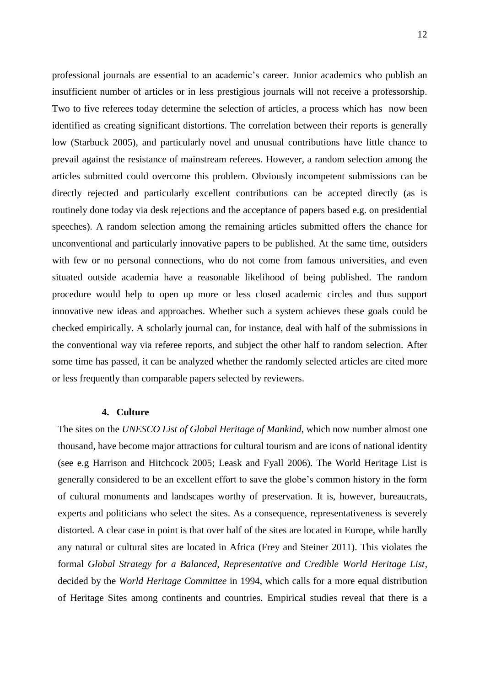professional journals are essential to an academic's career. Junior academics who publish an insufficient number of articles or in less prestigious journals will not receive a professorship. Two to five referees today determine the selection of articles, a process which has now been identified as creating significant distortions. The correlation between their reports is generally low [\(Starbuck 2005\)](#page-18-9), and particularly novel and unusual contributions have little chance to prevail against the resistance of mainstream referees. However, a random selection among the articles submitted could overcome this problem. Obviously incompetent submissions can be directly rejected and particularly excellent contributions can be accepted directly (as is routinely done today via desk rejections and the acceptance of papers based e.g. on presidential speeches). A random selection among the remaining articles submitted offers the chance for unconventional and particularly innovative papers to be published. At the same time, outsiders with few or no personal connections, who do not come from famous universities, and even situated outside academia have a reasonable likelihood of being published. The random procedure would help to open up more or less closed academic circles and thus support innovative new ideas and approaches. Whether such a system achieves these goals could be checked empirically. A scholarly journal can, for instance, deal with half of the submissions in the conventional way via referee reports, and subject the other half to random selection. After some time has passed, it can be analyzed whether the randomly selected articles are cited more or less frequently than comparable papers selected by reviewers.

#### **4. Culture**

The sites on the *UNESCO List of Global Heritage of Mankind*, which now number almost one thousand, have become major attractions for cultural tourism and are icons of national identity (see e.g [Harrison and Hitchcock 2005;](#page-16-13) [Leask and Fyall 2006\)](#page-17-15). The World Heritage List is generally considered to be an excellent effort to save the globe's common history in the form of cultural monuments and landscapes worthy of preservation. It is, however, bureaucrats, experts and politicians who select the sites. As a consequence, representativeness is severely distorted. A clear case in point is that over half of the sites are located in Europe, while hardly any natural or cultural sites are located in Africa [\(Frey and Steiner 2011\)](#page-16-14). This violates the formal *Global Strategy for a Balanced, Representative and Credible World Heritage List,* decided by the *World Heritage Committee* in 1994, which calls for a more equal distribution of Heritage Sites among continents and countries. Empirical studies reveal that there is a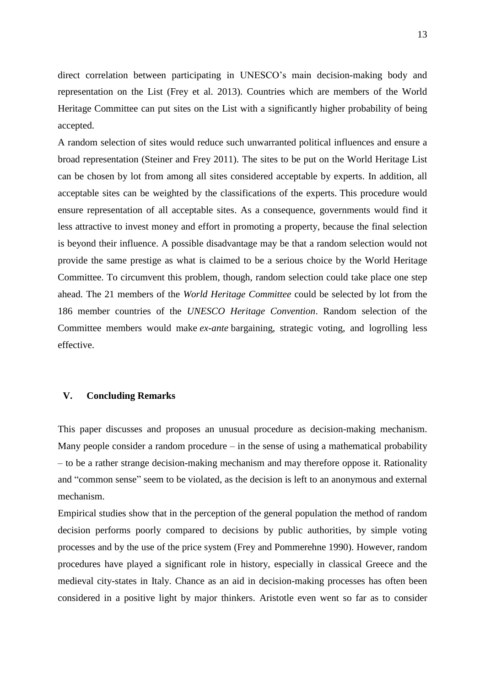direct correlation between participating in UNESCO's main decision-making body and representation on the List [\(Frey et al. 2013\)](#page-16-15). Countries which are members of the World Heritage Committee can put sites on the List with a significantly higher probability of being accepted.

A random selection of sites would reduce such unwarranted political influences and ensure a broad representation [\(Steiner and Frey 2011\)](#page-18-10). The sites to be put on the World Heritage List can be chosen by lot from among all sites considered acceptable by experts. In addition, all acceptable sites can be weighted by the classifications of the experts. This procedure would ensure representation of all acceptable sites. As a consequence, governments would find it less attractive to invest money and effort in promoting a property, because the final selection is beyond their influence. A possible disadvantage may be that a random selection would not provide the same prestige as what is claimed to be a serious choice by the World Heritage Committee. To circumvent this problem, though, random selection could take place one step ahead. The 21 members of the *World Heritage Committee* could be selected by lot from the 186 member countries of the *UNESCO Heritage Convention*. Random selection of the Committee members would make *ex-ante* bargaining, strategic voting, and logrolling less effective.

## **V. Concluding Remarks**

This paper discusses and proposes an unusual procedure as decision-making mechanism. Many people consider a random procedure  $-$  in the sense of using a mathematical probability – to be a rather strange decision-making mechanism and may therefore oppose it. Rationality and "common sense" seem to be violated, as the decision is left to an anonymous and external mechanism.

Empirical studies show that in the perception of the general population the method of random decision performs poorly compared to decisions by public authorities, by simple voting processes and by the use of the price system [\(Frey and Pommerehne 1990\)](#page-16-4). However, random procedures have played a significant role in history, especially in classical Greece and the medieval city-states in Italy. Chance as an aid in decision-making processes has often been considered in a positive light by major thinkers. Aristotle even went so far as to consider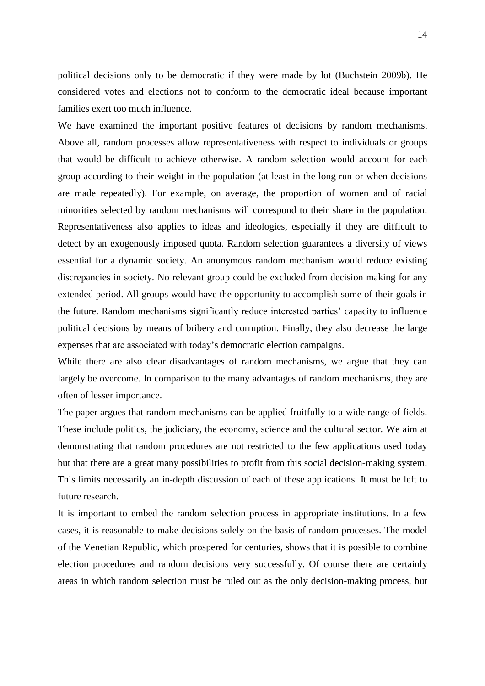political decisions only to be democratic if they were made by lot [\(Buchstein 2009b\)](#page-15-9). He considered votes and elections not to conform to the democratic ideal because important families exert too much influence.

We have examined the important positive features of decisions by random mechanisms. Above all, random processes allow representativeness with respect to individuals or groups that would be difficult to achieve otherwise. A random selection would account for each group according to their weight in the population (at least in the long run or when decisions are made repeatedly). For example, on average, the proportion of women and of racial minorities selected by random mechanisms will correspond to their share in the population. Representativeness also applies to ideas and ideologies, especially if they are difficult to detect by an exogenously imposed quota. Random selection guarantees a diversity of views essential for a dynamic society. An anonymous random mechanism would reduce existing discrepancies in society. No relevant group could be excluded from decision making for any extended period. All groups would have the opportunity to accomplish some of their goals in the future. Random mechanisms significantly reduce interested parties' capacity to influence political decisions by means of bribery and corruption. Finally, they also decrease the large expenses that are associated with today's democratic election campaigns.

While there are also clear disadvantages of random mechanisms, we argue that they can largely be overcome. In comparison to the many advantages of random mechanisms, they are often of lesser importance.

The paper argues that random mechanisms can be applied fruitfully to a wide range of fields. These include politics, the judiciary, the economy, science and the cultural sector. We aim at demonstrating that random procedures are not restricted to the few applications used today but that there are a great many possibilities to profit from this social decision-making system. This limits necessarily an in-depth discussion of each of these applications. It must be left to future research.

It is important to embed the random selection process in appropriate institutions. In a few cases, it is reasonable to make decisions solely on the basis of random processes. The model of the Venetian Republic, which prospered for centuries, shows that it is possible to combine election procedures and random decisions very successfully. Of course there are certainly areas in which random selection must be ruled out as the only decision-making process, but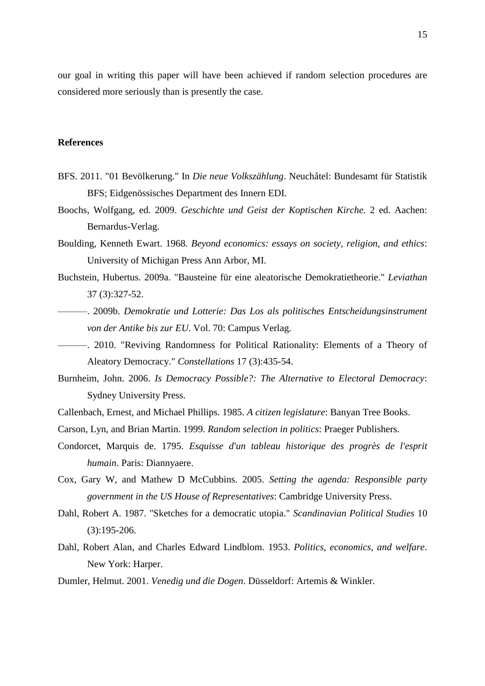our goal in writing this paper will have been achieved if random selection procedures are considered more seriously than is presently the case.

#### **References**

- <span id="page-15-3"></span>BFS. 2011. "01 Bevölkerung." In *Die neue Volkszählung*. Neuchåtel: Bundesamt für Statistik BFS; Eidgenössisches Department des Innern EDI.
- <span id="page-15-5"></span>Boochs, Wolfgang, ed. 2009. *Geschichte und Geist der Koptischen Kirche.* 2 ed. Aachen: Bernardus-Verlag.
- <span id="page-15-8"></span>Boulding, Kenneth Ewart. 1968. *Beyond economics: essays on society, religion, and ethics*: University of Michigan Press Ann Arbor, MI.
- <span id="page-15-1"></span>Buchstein, Hubertus. 2009a. "Bausteine für eine aleatorische Demokratietheorie." *Leviathan* 37 (3):327-52.
- <span id="page-15-9"></span>———. 2009b. *Demokratie und Lotterie: Das Los als politisches Entscheidungsinstrument von der Antike bis zur EU*. Vol. 70: Campus Verlag.
- <span id="page-15-2"></span>———. 2010. "Reviving Randomness for Political Rationality: Elements of a Theory of Aleatory Democracy." *Constellations* 17 (3):435-54.
- <span id="page-15-12"></span>Burnheim, John. 2006. *Is Democracy Possible?: The Alternative to Electoral Democracy*: Sydney University Press.
- <span id="page-15-11"></span>Callenbach, Ernest, and Michael Phillips. 1985. *A citizen legislature*: Banyan Tree Books.
- <span id="page-15-0"></span>Carson, Lyn, and Brian Martin. 1999. *Random selection in politics*: Praeger Publishers.
- <span id="page-15-7"></span>Condorcet, Marquis de. 1795. *Esquisse d'un tableau historique des progrès de l'esprit humain*. Paris: Diannyaere.
- <span id="page-15-10"></span>Cox, Gary W, and Mathew D McCubbins. 2005. *Setting the agenda: Responsible party government in the US House of Representatives*: Cambridge University Press.
- <span id="page-15-13"></span>Dahl, Robert A. 1987. "Sketches for a democratic utopia." *Scandinavian Political Studies* 10 (3):195-206.
- <span id="page-15-6"></span>Dahl, Robert Alan, and Charles Edward Lindblom. 1953. *Politics, economics, and welfare*. New York: Harper.
- <span id="page-15-4"></span>Dumler, Helmut. 2001. *Venedig und die Dogen*. Düsseldorf: Artemis & Winkler.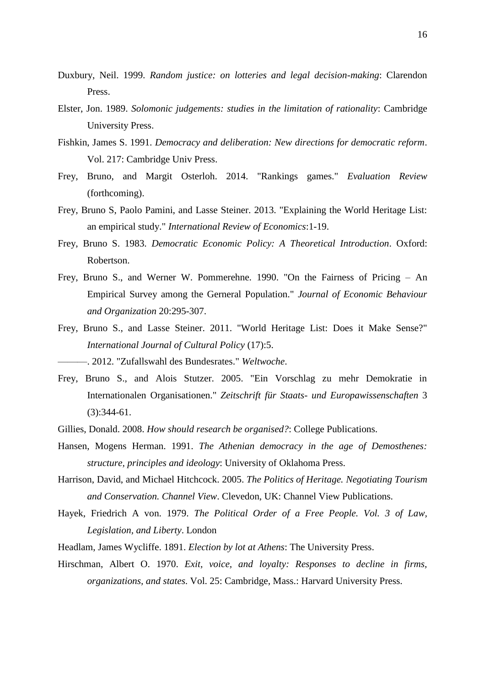- <span id="page-16-2"></span>Duxbury, Neil. 1999. *Random justice: on lotteries and legal decision-making*: Clarendon Press.
- <span id="page-16-0"></span>Elster, Jon. 1989. *Solomonic judgements: studies in the limitation of rationality*: Cambridge University Press.
- <span id="page-16-8"></span>Fishkin, James S. 1991. *Democracy and deliberation: New directions for democratic reform*. Vol. 217: Cambridge Univ Press.
- <span id="page-16-12"></span>Frey, Bruno, and Margit Osterloh. 2014. "Rankings games." *Evaluation Review* (forthcoming).
- <span id="page-16-15"></span>Frey, Bruno S, Paolo Pamini, and Lasse Steiner. 2013. "Explaining the World Heritage List: an empirical study." *International Review of Economics*:1-19.
- <span id="page-16-5"></span>Frey, Bruno S. 1983. *Democratic Economic Policy: A Theoretical Introduction*. Oxford: Robertson.
- <span id="page-16-4"></span>Frey, Bruno S., and Werner W. Pommerehne. 1990. "On the Fairness of Pricing – An Empirical Survey among the Gerneral Population." *Journal of Economic Behaviour and Organization* 20:295-307.
- <span id="page-16-14"></span>Frey, Bruno S., and Lasse Steiner. 2011. "World Heritage List: Does it Make Sense?" *International Journal of Cultural Policy* (17):5.
- <span id="page-16-9"></span>———. 2012. "Zufallswahl des Bundesrates." *Weltwoche*.
- <span id="page-16-10"></span>Frey, Bruno S., and Alois Stutzer. 2005. "Ein Vorschlag zu mehr Demokratie in Internationalen Organisationen." *Zeitschrift für Staats- und Europawissenschaften* 3 (3):344-61.
- <span id="page-16-11"></span>Gillies, Donald. 2008. *How should research be organised?*: College Publications.
- <span id="page-16-1"></span>Hansen, Mogens Herman. 1991. *The Athenian democracy in the age of Demosthenes: structure, principles and ideology*: University of Oklahoma Press.
- <span id="page-16-13"></span>Harrison, David, and Michael Hitchcock. 2005. *The Politics of Heritage. Negotiating Tourism and Conservation. Channel View*. Clevedon, UK: Channel View Publications.
- <span id="page-16-3"></span>Hayek, Friedrich A von. 1979. *The Political Order of a Free People. Vol. 3 of Law, Legislation, and Liberty*. London
- <span id="page-16-7"></span>Headlam, James Wycliffe. 1891. *Election by lot at Athens*: The University Press.
- <span id="page-16-6"></span>Hirschman, Albert O. 1970. *Exit, voice, and loyalty: Responses to decline in firms, organizations, and states*. Vol. 25: Cambridge, Mass.: Harvard University Press.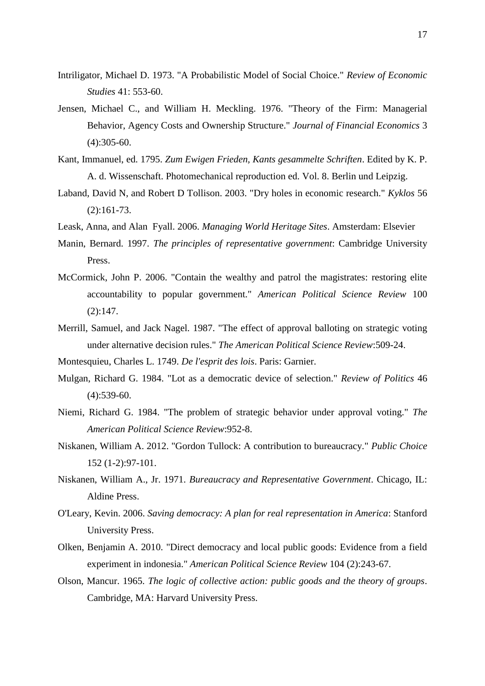- <span id="page-17-0"></span>Intriligator, Michael D. 1973. "A Probabilistic Model of Social Choice." *Review of Economic Studies* 41: 553-60.
- <span id="page-17-11"></span>Jensen, Michael C., and William H. Meckling. 1976. "Theory of the Firm: Managerial Behavior, Agency Costs and Ownership Structure." *Journal of Financial Economics* 3  $(4):305-60.$
- <span id="page-17-4"></span>Kant, Immanuel, ed. 1795. *Zum Ewigen Frieden, Kants gesammelte Schriften*. Edited by K. P. A. d. Wissenschaft. Photomechanical reproduction ed. Vol. 8. Berlin und Leipzig.
- <span id="page-17-14"></span>Laband, David N, and Robert D Tollison. 2003. "Dry holes in economic research." *Kyklos* 56 (2):161-73.
- <span id="page-17-15"></span>Leask, Anna, and Alan Fyall. 2006. *Managing World Heritage Sites*. Amsterdam: Elsevier
- <span id="page-17-2"></span>Manin, Bernard. 1997. *The principles of representative government*: Cambridge University Press.
- <span id="page-17-1"></span>McCormick, John P. 2006. "Contain the wealthy and patrol the magistrates: restoring elite accountability to popular government." *American Political Science Review* 100  $(2):147.$
- <span id="page-17-8"></span>Merrill, Samuel, and Jack Nagel. 1987. "The effect of approval balloting on strategic voting under alternative decision rules." *The American Political Science Review*:509-24.
- <span id="page-17-3"></span>Montesquieu, Charles L. 1749. *De l'esprit des lois*. Paris: Garnier.
- <span id="page-17-12"></span>Mulgan, Richard G. 1984. "Lot as a democratic device of selection." *Review of Politics* 46  $(4):539-60.$
- <span id="page-17-7"></span>Niemi, Richard G. 1984. "The problem of strategic behavior under approval voting." *The American Political Science Review*:952-8.
- <span id="page-17-10"></span>Niskanen, William A. 2012. "Gordon Tullock: A contribution to bureaucracy." *Public Choice* 152 (1-2):97-101.
- <span id="page-17-9"></span>Niskanen, William A., Jr. 1971. *Bureaucracy and Representative Government*. Chicago, IL: Aldine Press.
- <span id="page-17-13"></span>O'Leary, Kevin. 2006. *Saving democracy: A plan for real representation in America*: Stanford University Press.
- <span id="page-17-6"></span>Olken, Benjamin A. 2010. "Direct democracy and local public goods: Evidence from a field experiment in indonesia." *American Political Science Review* 104 (2):243-67.
- <span id="page-17-5"></span>Olson, Mancur. 1965. *The logic of collective action: public goods and the theory of groups*. Cambridge, MA: Harvard University Press.